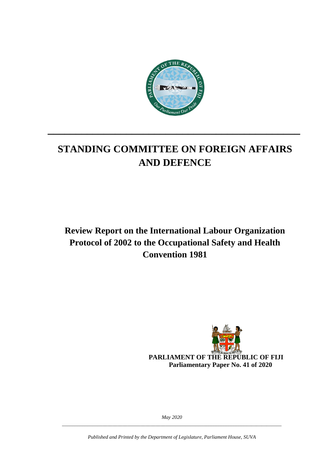

# **STANDING COMMITTEE ON FOREIGN AFFAIRS AND DEFENCE**

**\_\_\_\_\_\_\_\_\_\_\_\_\_\_\_\_\_\_\_\_\_\_\_\_\_\_\_\_\_\_\_\_\_\_\_\_\_\_\_\_\_\_\_\_\_**

**Review Report on the International Labour Organization Protocol of 2002 to the Occupational Safety and Health Convention 1981**



**PARLIAMENT OF THE REPUBLIC OF FIJI Parliamentary Paper No. 41 of 2020**

*May 2020 \_\_\_\_\_\_\_\_\_\_\_\_\_\_\_\_\_\_\_\_\_\_\_\_\_\_\_\_\_\_\_\_\_\_\_\_\_\_\_\_\_\_\_\_\_\_\_\_\_\_\_\_\_\_\_\_\_\_\_\_\_\_\_\_\_\_\_\_\_\_\_\_\_\_\_\_\_\_\_\_\_\_\_\_\_\_\_*

*Published and Printed by the Department of Legislature, Parliament House, SUVA*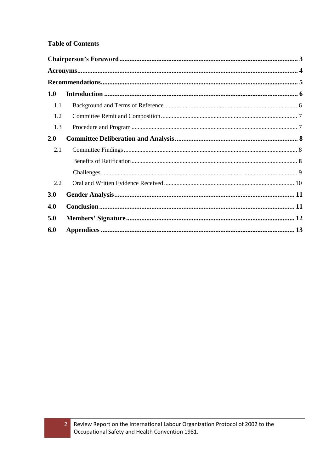#### **Table of Contents**

| 1.0 |  |  |  |
|-----|--|--|--|
| 1.1 |  |  |  |
| 1.2 |  |  |  |
| 1.3 |  |  |  |
| 2.0 |  |  |  |
| 2.1 |  |  |  |
|     |  |  |  |
|     |  |  |  |
| 2.2 |  |  |  |
| 3.0 |  |  |  |
| 4.0 |  |  |  |
| 5.0 |  |  |  |
| 6.0 |  |  |  |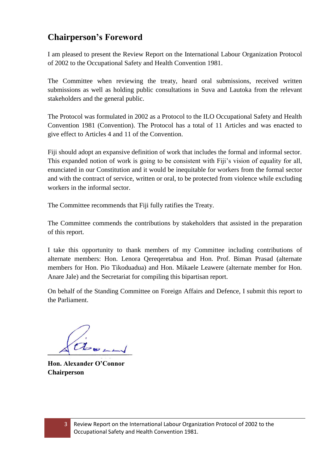## <span id="page-2-0"></span>**Chairperson's Foreword**

I am pleased to present the Review Report on the International Labour Organization Protocol of 2002 to the Occupational Safety and Health Convention 1981.

The Committee when reviewing the treaty, heard oral submissions, received written submissions as well as holding public consultations in Suva and Lautoka from the relevant stakeholders and the general public.

The Protocol was formulated in 2002 as a Protocol to the ILO Occupational Safety and Health Convention 1981 (Convention). The Protocol has a total of 11 Articles and was enacted to give effect to Articles 4 and 11 of the Convention.

Fiji should adopt an expansive definition of work that includes the formal and informal sector. This expanded notion of work is going to be consistent with Fiji's vision of equality for all, enunciated in our Constitution and it would be inequitable for workers from the formal sector and with the contract of service, written or oral, to be protected from violence while excluding workers in the informal sector.

The Committee recommends that Fiji fully ratifies the Treaty.

The Committee commends the contributions by stakeholders that assisted in the preparation of this report.

I take this opportunity to thank members of my Committee including contributions of alternate members: Hon. Lenora Qereqeretabua and Hon. Prof. Biman Prasad (alternate members for Hon. Pio Tikoduadua) and Hon. Mikaele Leawere (alternate member for Hon. Anare Jale) and the Secretariat for compiling this bipartisan report.

On behalf of the Standing Committee on Foreign Affairs and Defence, I submit this report to the Parliament.

about

**Hon. Alexander O'Connor Chairperson**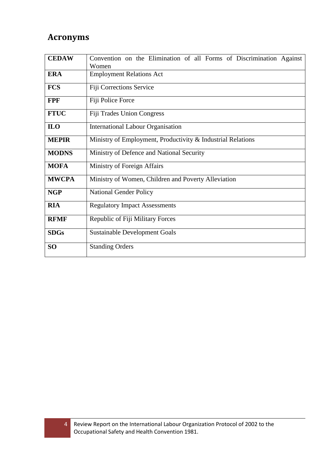## <span id="page-3-0"></span>**Acronyms**

| <b>CEDAW</b>                                           | Convention on the Elimination of all Forms of Discrimination Against |  |  |  |  |  |
|--------------------------------------------------------|----------------------------------------------------------------------|--|--|--|--|--|
|                                                        | Women                                                                |  |  |  |  |  |
| <b>ERA</b>                                             | <b>Employment Relations Act</b>                                      |  |  |  |  |  |
| <b>FCS</b>                                             | Fiji Corrections Service                                             |  |  |  |  |  |
| Fiji Police Force<br><b>FPF</b>                        |                                                                      |  |  |  |  |  |
| <b>FTUC</b>                                            | <b>Fiji Trades Union Congress</b>                                    |  |  |  |  |  |
| <b>ILO</b><br><b>International Labour Organisation</b> |                                                                      |  |  |  |  |  |
| <b>MEPIR</b>                                           | Ministry of Employment, Productivity & Industrial Relations          |  |  |  |  |  |
| <b>MODNS</b>                                           | Ministry of Defence and National Security                            |  |  |  |  |  |
| Ministry of Foreign Affairs<br><b>MOFA</b>             |                                                                      |  |  |  |  |  |
| <b>MWCPA</b>                                           | Ministry of Women, Children and Poverty Alleviation                  |  |  |  |  |  |
| <b>NGP</b>                                             | <b>National Gender Policy</b>                                        |  |  |  |  |  |
| <b>RIA</b>                                             | <b>Regulatory Impact Assessments</b>                                 |  |  |  |  |  |
| <b>RFMF</b>                                            | Republic of Fiji Military Forces                                     |  |  |  |  |  |
| <b>SDGs</b>                                            | <b>Sustainable Development Goals</b>                                 |  |  |  |  |  |
| <b>Standing Orders</b><br>SO <sub>1</sub>              |                                                                      |  |  |  |  |  |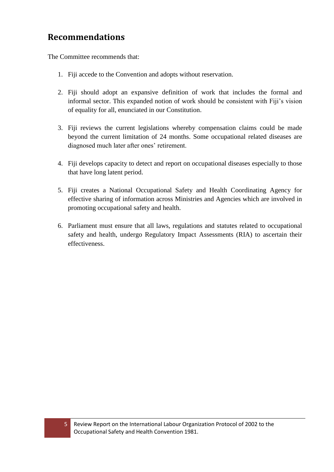## <span id="page-4-0"></span>**Recommendations**

The Committee recommends that:

- 1. Fiji accede to the Convention and adopts without reservation.
- 2. Fiji should adopt an expansive definition of work that includes the formal and informal sector. This expanded notion of work should be consistent with Fiji's vision of equality for all, enunciated in our Constitution.
- 3. Fiji reviews the current legislations whereby compensation claims could be made beyond the current limitation of 24 months. Some occupational related diseases are diagnosed much later after ones' retirement.
- 4. Fiji develops capacity to detect and report on occupational diseases especially to those that have long latent period.
- 5. Fiji creates a National Occupational Safety and Health Coordinating Agency for effective sharing of information across Ministries and Agencies which are involved in promoting occupational safety and health.
- 6. Parliament must ensure that all laws, regulations and statutes related to occupational safety and health, undergo Regulatory Impact Assessments (RIA) to ascertain their effectiveness.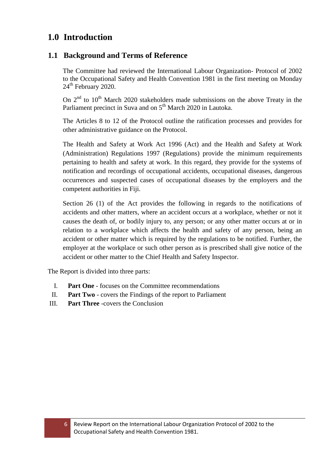### <span id="page-5-0"></span>**1.0 Introduction**

### <span id="page-5-1"></span>**1.1 Background and Terms of Reference**

The Committee had reviewed the International Labour Organization- Protocol of 2002 to the Occupational Safety and Health Convention 1981 in the first meeting on Monday 24<sup>th</sup> February 2020.

On  $2<sup>nd</sup>$  to  $10<sup>th</sup>$  March 2020 stakeholders made submissions on the above Treaty in the Parliament precinct in Suva and on 5<sup>th</sup> March 2020 in Lautoka.

The Articles 8 to 12 of the Protocol outline the ratification processes and provides for other administrative guidance on the Protocol.

The Health and Safety at Work Act 1996 (Act) and the Health and Safety at Work (Administration) Regulations 1997 (Regulations) provide the minimum requirements pertaining to health and safety at work. In this regard, they provide for the systems of notification and recordings of occupational accidents, occupational diseases, dangerous occurrences and suspected cases of occupational diseases by the employers and the competent authorities in Fiji.

Section 26 (1) of the Act provides the following in regards to the notifications of accidents and other matters, where an accident occurs at a workplace, whether or not it causes the death of, or bodily injury to, any person; or any other matter occurs at or in relation to a workplace which affects the health and safety of any person, being an accident or other matter which is required by the regulations to be notified. Further, the employer at the workplace or such other person as is prescribed shall give notice of the accident or other matter to the Chief Health and Safety Inspector.

The Report is divided into three parts:

- I. **Part One** focuses on the Committee recommendations
- II. **Part Two** covers the Findings of the report to Parliament
- III. **Part Three** -covers the Conclusion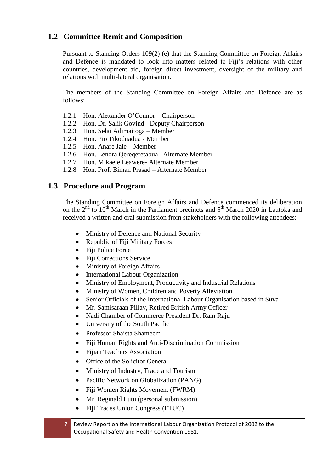### <span id="page-6-0"></span>**1.2 Committee Remit and Composition**

Pursuant to Standing Orders 109(2) (e) that the Standing Committee on Foreign Affairs and Defence is mandated to look into matters related to Fiji's relations with other countries, development aid, foreign direct investment, oversight of the military and relations with multi-lateral organisation.

The members of the Standing Committee on Foreign Affairs and Defence are as follows:

- 1.2.1 Hon. Alexander O'Connor Chairperson
- 1.2.2 Hon. Dr. Salik Govind Deputy Chairperson
- 1.2.3 Hon. Selai Adimaitoga Member
- 1.2.4 Hon. Pio Tikoduadua Member
- 1.2.5 Hon. Anare Jale Member
- 1.2.6 Hon. Lenora Qereqeretabua –Alternate Member
- 1.2.7 Hon. Mikaele Leawere- Alternate Member
- 1.2.8 Hon. Prof. Biman Prasad Alternate Member

### <span id="page-6-1"></span>**1.3 Procedure and Program**

The Standing Committee on Foreign Affairs and Defence commenced its deliberation on the  $2<sup>nd</sup>$  to  $10<sup>th</sup>$  March in the Parliament precincts and  $5<sup>th</sup>$  March 2020 in Lautoka and received a written and oral submission from stakeholders with the following attendees:

- Ministry of Defence and National Security
- Republic of Fiji Military Forces
- Fiji Police Force
- Fiji Corrections Service
- Ministry of Foreign Affairs
- International Labour Organization
- Ministry of Employment, Productivity and Industrial Relations
- Ministry of Women, Children and Poverty Alleviation
- Senior Officials of the International Labour Organisation based in Suva
- Mr. Samisaraan Pillay, Retired British Army Officer
- Nadi Chamber of Commerce President Dr. Ram Raju
- University of the South Pacific
- Professor Shaista Shameem
- Fiji Human Rights and Anti-Discrimination Commission
- Fijian Teachers Association
- Office of the Solicitor General
- Ministry of Industry, Trade and Tourism
- Pacific Network on Globalization (PANG)
- Fiji Women Rights Movement (FWRM)
- Mr. Reginald Lutu (personal submission)
- Fiji Trades Union Congress (FTUC)
- 7 Review Report on the International Labour Organization Protocol of 2002 to the Occupational Safety and Health Convention 1981.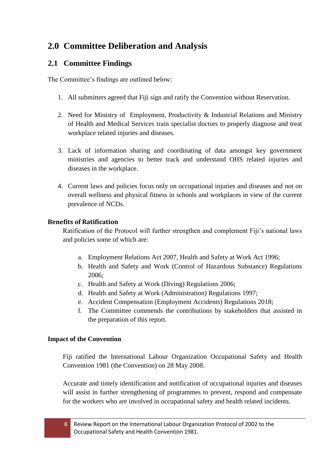## <span id="page-7-0"></span>**2.0 Committee Deliberation and Analysis**

### <span id="page-7-1"></span>**2.1 Committee Findings**

The Committee's findings are outlined below:

- 1. All submitters agreed that Fiji sign and ratify the Convention without Reservation.
- 2. Need for Ministry of Employment, Productivity & Industrial Relations and Ministry of Health and Medical Services train specialist doctors to properly diagnose and treat workplace related injuries and diseases.
- 3. Lack of information sharing and coordinating of data amongst key government ministries and agencies to better track and understand OHS related injuries and diseases in the workplace.
- 4. Current laws and policies focus only on occupational injuries and diseases and not on overall wellness and physical fitness in schools and workplaces in view of the current prevalence of NCDs.

### <span id="page-7-2"></span>**Benefits of Ratification**

Ratification of the Protocol will further strengthen and complement Fiji's national laws and policies some of which are:

- a. Employment Relations Act 2007, Health and Safety at Work Act 1996;
- b. Health and Safety and Work (Control of Hazardous Substance) Regulations 2006;
- c. Health and Safety at Work (Diving) Regulations 2006;
- d. Health and Safety at Work (Administration) Regulations 1997;
- e. Accident Compensation (Employment Accidents) Regulations 2018;
- f. The Committee commends the contributions by stakeholders that assisted in the preparation of this report.

#### **Impact of the Convention**

Fiji ratified the International Labour Organization Occupational Safety and Health Convention 1981 (the Convention) on 28 May 2008.

Accurate and timely identification and notification of occupational injuries and diseases will assist in further strengthening of programmes to prevent, respond and compensate for the workers who are involved in occupational safety and health related incidents.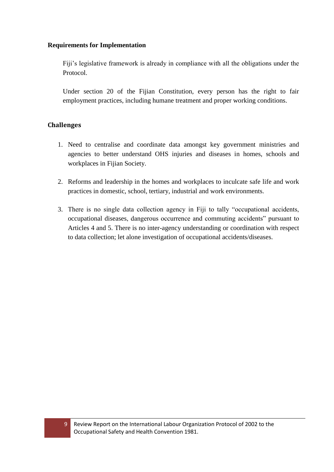#### **Requirements for Implementation**

Fiji's legislative framework is already in compliance with all the obligations under the Protocol.

Under section 20 of the Fijian Constitution, every person has the right to fair employment practices, including humane treatment and proper working conditions.

### <span id="page-8-0"></span>**Challenges**

- 1. Need to centralise and coordinate data amongst key government ministries and agencies to better understand OHS injuries and diseases in homes, schools and workplaces in Fijian Society.
- 2. Reforms and leadership in the homes and workplaces to inculcate safe life and work practices in domestic, school, tertiary, industrial and work environments.
- 3. There is no single data collection agency in Fiji to tally "occupational accidents, occupational diseases, dangerous occurrence and commuting accidents" pursuant to Articles 4 and 5. There is no inter-agency understanding or coordination with respect to data collection; let alone investigation of occupational accidents/diseases.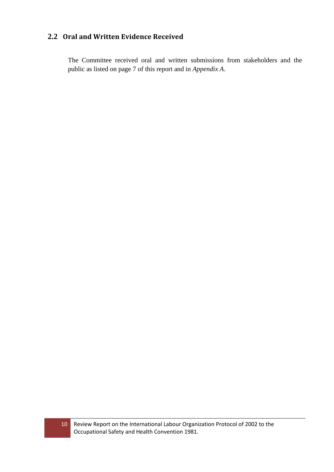### <span id="page-9-0"></span>**2.2 Oral and Written Evidence Received**

The Committee received oral and written submissions from stakeholders and the public as listed on page 7 of this report and in *Appendix A*.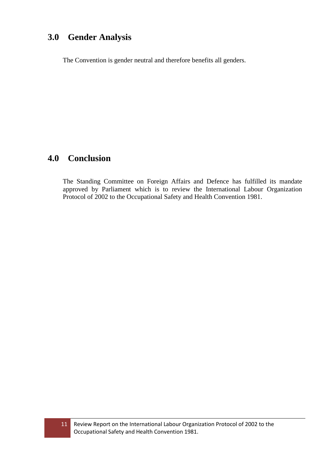## <span id="page-10-0"></span>**3.0 Gender Analysis**

The Convention is gender neutral and therefore benefits all genders.

## <span id="page-10-1"></span>**4.0 Conclusion**

The Standing Committee on Foreign Affairs and Defence has fulfilled its mandate approved by Parliament which is to review the International Labour Organization Protocol of 2002 to the Occupational Safety and Health Convention 1981.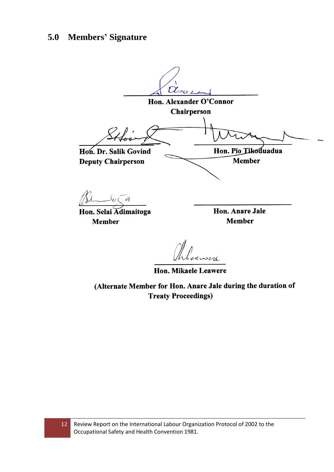## <span id="page-11-0"></span>**5.0 Members' Signature**

abor Hon. Alexander O'Connor Chairperson Hon. Pio Tikoduadua Hon. Dr. Salik Govind **Deputy Chairperson Member**  $\mathscr{A}$ 

Hon. Selai Adimaitoga **Member** 

Hon. Anare Jale **Member** 

Phleasere

Hon. Mikaele Leawere

(Alternate Member for Hon. Anare Jale during the duration of **Treaty Proceedings)**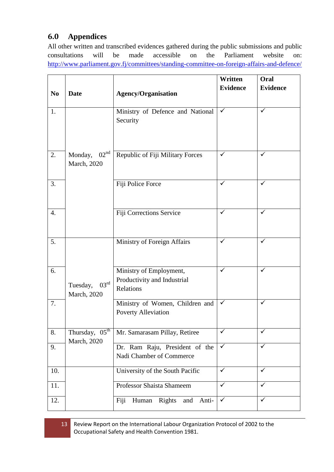### <span id="page-12-0"></span>**6.0 Appendices**

All other written and transcribed evidences gathered during the public submissions and public consultations will be made accessible on the Parliament website on: <http://www.parliament.gov.fj/committees/standing-committee-on-foreign-affairs-and-defence/>

|                |                                           |                                         | Written              | Oral            |
|----------------|-------------------------------------------|-----------------------------------------|----------------------|-----------------|
| N <sub>0</sub> | <b>Date</b>                               | <b>Agency/Organisation</b>              | <b>Evidence</b>      | <b>Evidence</b> |
|                |                                           |                                         |                      |                 |
| 1.             |                                           | Ministry of Defence and National        | $\blacktriangledown$ | $\checkmark$    |
|                |                                           | Security                                |                      |                 |
|                |                                           |                                         |                      |                 |
|                |                                           |                                         |                      |                 |
| 2.             | 02 <sup>nd</sup><br>Monday,               | Republic of Fiji Military Forces        | ✓                    | ✓               |
|                | March, 2020                               |                                         |                      |                 |
| 3.             |                                           | Fiji Police Force                       | ✓                    | $\checkmark$    |
|                |                                           |                                         |                      |                 |
|                |                                           |                                         |                      |                 |
| 4.             |                                           | Fiji Corrections Service                | ✓                    | ✓               |
|                |                                           |                                         |                      |                 |
|                |                                           |                                         | $\checkmark$         | ✓               |
| 5.             |                                           | Ministry of Foreign Affairs             |                      |                 |
|                |                                           |                                         |                      |                 |
| 6.             |                                           | Ministry of Employment,                 | $\checkmark$         | $\checkmark$    |
|                | $03^{\text{rd}}$<br>Tuesday,              | Productivity and Industrial             |                      |                 |
|                | March, 2020                               | Relations                               |                      |                 |
| 7.             |                                           | Ministry of Women, Children and         | ✓                    | $\checkmark$    |
|                |                                           | Poverty Alleviation                     |                      |                 |
|                |                                           |                                         | ✓                    | ✓               |
| 8.             | Thursday, 05 <sup>th</sup><br>March, 2020 | Mr. Samarasam Pillay, Retiree           |                      |                 |
| 9.             |                                           | Dr. Ram Raju, President of the          | $\checkmark$         | $\checkmark$    |
|                |                                           | Nadi Chamber of Commerce                |                      |                 |
| 10.            |                                           | University of the South Pacific         | $\checkmark$         | $\checkmark$    |
| 11.            |                                           | Professor Shaista Shameem               | $\checkmark$         | ✓               |
|                |                                           |                                         | $\checkmark$         | $\checkmark$    |
| 12.            |                                           | Human<br>Rights<br>Fiji<br>and<br>Anti- |                      |                 |

13 Review Report on the International Labour Organization Protocol of 2002 to the Occupational Safety and Health Convention 1981.